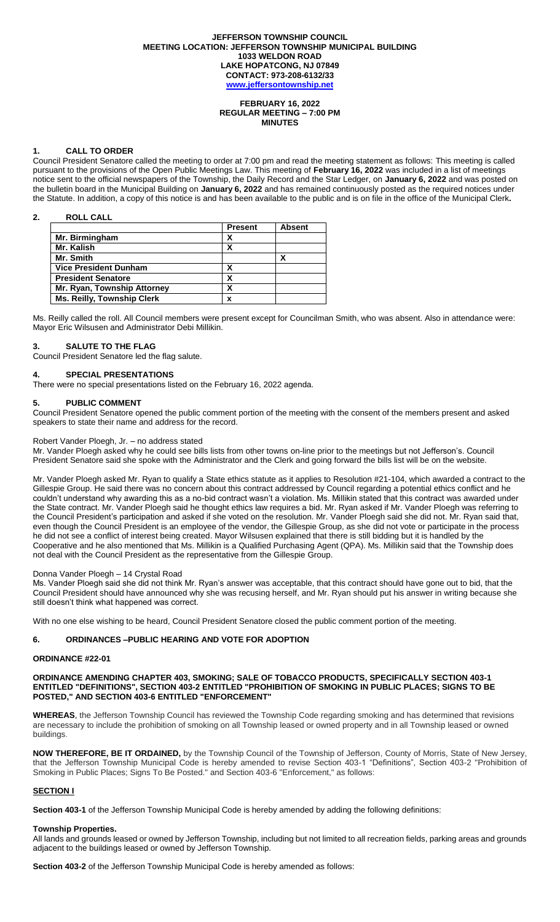#### **JEFFERSON TOWNSHIP COUNCIL MEETING LOCATION: JEFFERSON TOWNSHIP MUNICIPAL BUILDING 1033 WELDON ROAD LAKE HOPATCONG, NJ 07849 CONTACT: 973-208-6132/33 [www.jeffersontownship.net](http://www.jeffersontownship.net/)**

#### **FEBRUARY 16, 2022 REGULAR MEETING – 7:00 PM MINUTES**

#### **1. CALL TO ORDER**

Council President Senatore called the meeting to order at 7:00 pm and read the meeting statement as follows: This meeting is called pursuant to the provisions of the Open Public Meetings Law. This meeting of **February 16, 2022** was included in a list of meetings notice sent to the official newspapers of the Township, the Daily Record and the Star Ledger, on **January 6, 2022** and was posted on the bulletin board in the Municipal Building on **January 6, 2022** and has remained continuously posted as the required notices under the Statute. In addition, a copy of this notice is and has been available to the public and is on file in the office of the Municipal Clerk**.** 

## **2. ROLL CALL**

|                                   | <b>Present</b> | <b>Absent</b> |
|-----------------------------------|----------------|---------------|
| Mr. Birmingham                    | χ              |               |
| Mr. Kalish                        | x              |               |
| Mr. Smith                         |                |               |
| <b>Vice President Dunham</b>      |                |               |
| <b>President Senatore</b>         | χ              |               |
| Mr. Ryan, Township Attorney       | χ              |               |
| <b>Ms. Reilly, Township Clerk</b> | x              |               |

Ms. Reilly called the roll. All Council members were present except for Councilman Smith, who was absent. Also in attendance were: Mayor Eric Wilsusen and Administrator Debi Millikin.

#### **3. SALUTE TO THE FLAG**

Council President Senatore led the flag salute.

# **4. [SPECIAL PRESENTATIONS](file://///JR2DATA/Clerk/Council%20Documents/Meetings/2018%20Meetings/EAGLE%20SCOUTS)**

There were no special presentations listed on the February 16, 2022 agenda.

## **5. PUBLIC COMMENT**

Council President Senatore opened the public comment portion of the meeting with the consent of the members present and asked speakers to state their name and address for the record.

#### Robert Vander Ploegh, Jr. – no address stated

Mr. Vander Ploegh asked why he could see bills lists from other towns on-line prior to the meetings but not Jefferson's. Council President Senatore said she spoke with the Administrator and the Clerk and going forward the bills list will be on the website.

Mr. Vander Ploegh asked Mr. Ryan to qualify a State ethics statute as it applies to Resolution #21-104, which awarded a contract to the Gillespie Group. He said there was no concern about this contract addressed by Council regarding a potential ethics conflict and he couldn't understand why awarding this as a no-bid contract wasn't a violation. Ms. Millikin stated that this contract was awarded under the State contract. Mr. Vander Ploegh said he thought ethics law requires a bid. Mr. Ryan asked if Mr. Vander Ploegh was referring to the Council President's participation and asked if she voted on the resolution. Mr. Vander Ploegh said she did not. Mr. Ryan said that, even though the Council President is an employee of the vendor, the Gillespie Group, as she did not vote or participate in the process he did not see a conflict of interest being created. Mayor Wilsusen explained that there is still bidding but it is handled by the Cooperative and he also mentioned that Ms. Millikin is a Qualified Purchasing Agent (QPA). Ms. Millikin said that the Township does not deal with the Council President as the representative from the Gillespie Group.

#### Donna Vander Ploegh – 14 Crystal Road

Ms. Vander Ploegh said she did not think Mr. Ryan's answer was acceptable, that this contract should have gone out to bid, that the Council President should have announced why she was recusing herself, and Mr. Ryan should put his answer in writing because she still doesn't think what happened was correct.

With no one else wishing to be heard, Council President Senatore closed the public comment portion of the meeting.

# **6. ORDINANCES –PUBLIC HEARING AND VOTE FOR ADOPTION**

#### **ORDINANCE #22-01**

#### **ORDINANCE AMENDING CHAPTER 403, SMOKING; SALE OF TOBACCO PRODUCTS, SPECIFICALLY SECTION 403-1 ENTITLED "DEFINITIONS", SECTION 403-2 ENTITLED "PROHIBITION OF SMOKING IN PUBLIC PLACES; SIGNS TO BE POSTED," AND SECTION 403-6 ENTITLED "ENFORCEMENT"**

**WHEREAS**, the Jefferson Township Council has reviewed the Township Code regarding smoking and has determined that revisions are necessary to include the prohibition of smoking on all Township leased or owned property and in all Township leased or owned buildings.

**NOW THEREFORE, BE IT ORDAINED,** by the Township Council of the Township of Jefferson, County of Morris, State of New Jersey, that the Jefferson Township Municipal Code is hereby amended to revise Section 403-1 "Definitions", Section 403-2 "Prohibition of Smoking in Public Places; Signs To Be Posted." and Section 403-6 "Enforcement," as follows:

#### **SECTION I**

**Section 403-1** of the Jefferson Township Municipal Code is hereby amended by adding the following definitions:

## **Township Properties.**

All lands and grounds leased or owned by Jefferson Township, including but not limited to all recreation fields, parking areas and grounds adjacent to the buildings leased or owned by Jefferson Township.

**Section 403-2** of the Jefferson Township Municipal Code is hereby amended as follows: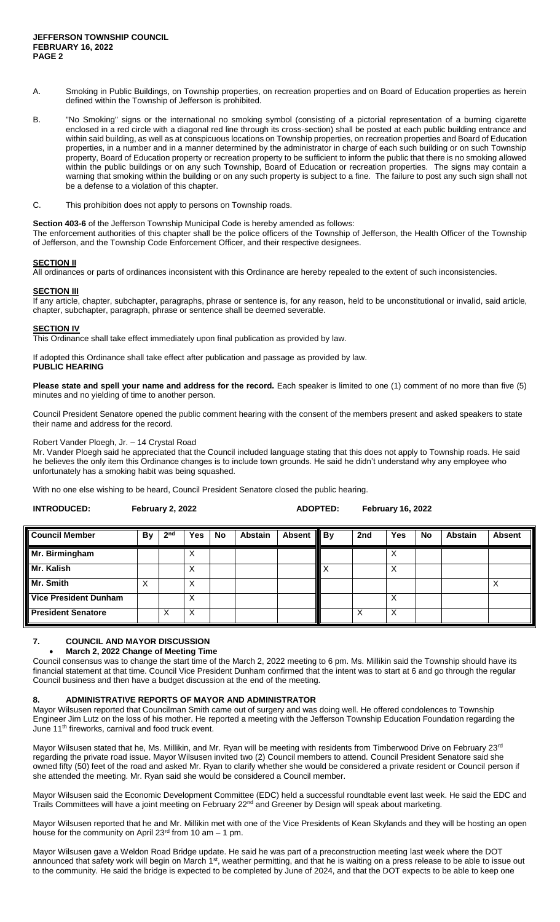- A. Smoking in Public Buildings, on Township properties, on recreation properties and on Board of Education properties as herein defined within the Township of Jefferson is prohibited.
- B. "No Smoking" signs or the international no smoking symbol (consisting of a pictorial representation of a burning cigarette enclosed in a red circle with a diagonal red line through its cross-section) shall be posted at each public building entrance and within said building, as well as at conspicuous locations on Township properties, on recreation properties and Board of Education properties, in a number and in a manner determined by the administrator in charge of each such building or on such Township property, Board of Education property or recreation property to be sufficient to inform the public that there is no smoking allowed within the public buildings or on any such Township, Board of Education or recreation properties. The signs may contain a warning that smoking within the building or on any such property is subject to a fine. The failure to post any such sign shall not be a defense to a violation of this chapter.
- C. This prohibition does not apply to persons on Township roads.

**Section 403-6** of the Jefferson Township Municipal Code is hereby amended as follows:

The enforcement authorities of this chapter shall be the police officers of the Township of Jefferson, the Health Officer of the Township of Jefferson, and the Township Code Enforcement Officer, and their respective designees.

# **SECTION II**

All ordinances or parts of ordinances inconsistent with this Ordinance are hereby repealed to the extent of such inconsistencies.

#### **SECTION III**

If any article, chapter, subchapter, paragraphs, phrase or sentence is, for any reason, held to be unconstitutional or invalid, said article, chapter, subchapter, paragraph, phrase or sentence shall be deemed severable.

#### **SECTION IV**

This Ordinance shall take effect immediately upon final publication as provided by law.

If adopted this Ordinance shall take effect after publication and passage as provided by law. **PUBLIC HEARING**

**Please state and spell your name and address for the record.** Each speaker is limited to one (1) comment of no more than five (5) minutes and no yielding of time to another person.

Council President Senatore opened the public comment hearing with the consent of the members present and asked speakers to state their name and address for the record.

#### Robert Vander Ploegh, Jr. – 14 Crystal Road

Mr. Vander Ploegh said he appreciated that the Council included language stating that this does not apply to Township roads. He said he believes the only item this Ordinance changes is to include town grounds. He said he didn't understand why any employee who unfortunately has a smoking habit was being squashed.

With no one else wishing to be heard, Council President Senatore closed the public hearing.

| <b>INTRODUCED:</b><br>February 2, 2022 | <b>ADOPTED:</b> | <b>February 16, 2022</b> |
|----------------------------------------|-----------------|--------------------------|
|----------------------------------------|-----------------|--------------------------|

| <b>Council Member</b>        | <b>By</b> | 2 <sub>nd</sub> | Yes    | <b>No</b> | <b>Abstain</b> | <b>Absent</b> | $\parallel$ By | 2nd | Yes               | <b>No</b> | <b>Abstain</b> | <b>Absent</b> |
|------------------------------|-----------|-----------------|--------|-----------|----------------|---------------|----------------|-----|-------------------|-----------|----------------|---------------|
| Mr. Birmingham               |           |                 | v<br>⋏ |           |                |               |                |     |                   |           |                |               |
| Mr. Kalish                   |           |                 | v<br>ᄉ |           |                |               |                |     | $\checkmark$<br>∧ |           |                |               |
| Mr. Smith                    | ⋏         |                 | Х      |           |                |               |                |     |                   |           |                |               |
| <b>Vice President Dunham</b> |           |                 | X      |           |                |               |                |     | ∨<br>∧            |           |                |               |
| <b>President Senatore</b>    |           | Χ               | X      |           |                |               |                |     | Χ                 |           |                |               |

## **7. COUNCIL AND MAYOR DISCUSSION**

#### **March 2, 2022 Change of Meeting Time**

Council consensus was to change the start time of the March 2, 2022 meeting to 6 pm. Ms. Millikin said the Township should have its financial statement at that time. Council Vice President Dunham confirmed that the intent was to start at 6 and go through the regular Council business and then have a budget discussion at the end of the meeting.

#### **8. ADMINISTRATIVE REPORTS OF MAYOR AND ADMINISTRATOR**

Mayor Wilsusen reported that Councilman Smith came out of surgery and was doing well. He offered condolences to Township Engineer Jim Lutz on the loss of his mother. He reported a meeting with the Jefferson Township Education Foundation regarding the June 11<sup>th</sup> fireworks, carnival and food truck event.

Mayor Wilsusen stated that he, Ms. Millikin, and Mr. Ryan will be meeting with residents from Timberwood Drive on February 23<sup>rd</sup> regarding the private road issue. Mayor Wilsusen invited two (2) Council members to attend. Council President Senatore said she owned fifty (50) feet of the road and asked Mr. Ryan to clarify whether she would be considered a private resident or Council person if she attended the meeting. Mr. Ryan said she would be considered a Council member.

Mayor Wilsusen said the Economic Development Committee (EDC) held a successful roundtable event last week. He said the EDC and Trails Committees will have a joint meeting on February 22<sup>nd</sup> and Greener by Design will speak about marketing.

Mayor Wilsusen reported that he and Mr. Millikin met with one of the Vice Presidents of Kean Skylands and they will be hosting an open house for the community on April 23<sup>rd</sup> from 10 am  $-$  1 pm.

Mayor Wilsusen gave a Weldon Road Bridge update. He said he was part of a preconstruction meeting last week where the DOT announced that safety work will begin on March 1<sup>st</sup>, weather permitting, and that he is waiting on a press release to be able to issue out to the community. He said the bridge is expected to be completed by June of 2024, and that the DOT expects to be able to keep one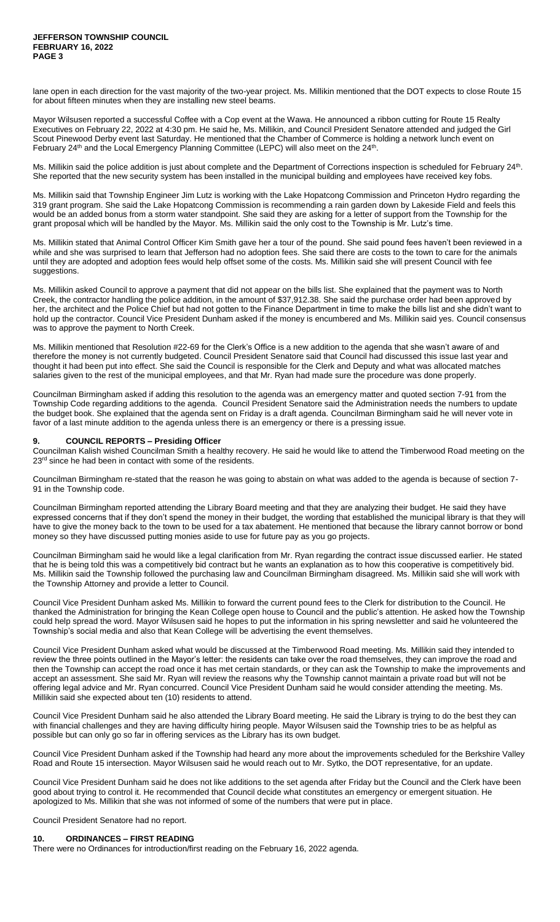lane open in each direction for the vast majority of the two-year project. Ms. Millikin mentioned that the DOT expects to close Route 15 for about fifteen minutes when they are installing new steel beams.

Mayor Wilsusen reported a successful Coffee with a Cop event at the Wawa. He announced a ribbon cutting for Route 15 Realty Executives on February 22, 2022 at 4:30 pm. He said he, Ms. Millikin, and Council President Senatore attended and judged the Girl Scout Pinewood Derby event last Saturday. He mentioned that the Chamber of Commerce is holding a network lunch event on February 24<sup>th</sup> and the Local Emergency Planning Committee (LEPC) will also meet on the 24<sup>th</sup>.

Ms. Millikin said the police addition is just about complete and the Department of Corrections inspection is scheduled for February 24<sup>th</sup>. She reported that the new security system has been installed in the municipal building and employees have received key fobs.

Ms. Millikin said that Township Engineer Jim Lutz is working with the Lake Hopatcong Commission and Princeton Hydro regarding the 319 grant program. She said the Lake Hopatcong Commission is recommending a rain garden down by Lakeside Field and feels this would be an added bonus from a storm water standpoint. She said they are asking for a letter of support from the Township for the grant proposal which will be handled by the Mayor. Ms. Millikin said the only cost to the Township is Mr. Lutz's time.

Ms. Millikin stated that Animal Control Officer Kim Smith gave her a tour of the pound. She said pound fees haven't been reviewed in a while and she was surprised to learn that Jefferson had no adoption fees. She said there are costs to the town to care for the animals until they are adopted and adoption fees would help offset some of the costs. Ms. Millikin said she will present Council with fee suggestions.

Ms. Millikin asked Council to approve a payment that did not appear on the bills list. She explained that the payment was to North Creek, the contractor handling the police addition, in the amount of \$37,912.38. She said the purchase order had been approved by her, the architect and the Police Chief but had not gotten to the Finance Department in time to make the bills list and she didn't want to hold up the contractor. Council Vice President Dunham asked if the money is encumbered and Ms. Millikin said yes. Council consensus was to approve the payment to North Creek.

Ms. Millikin mentioned that Resolution #22-69 for the Clerk's Office is a new addition to the agenda that she wasn't aware of and therefore the money is not currently budgeted. Council President Senatore said that Council had discussed this issue last year and thought it had been put into effect. She said the Council is responsible for the Clerk and Deputy and what was allocated matches salaries given to the rest of the municipal employees, and that Mr. Ryan had made sure the procedure was done properly.

Councilman Birmingham asked if adding this resolution to the agenda was an emergency matter and quoted section 7-91 from the Township Code regarding additions to the agenda. Council President Senatore said the Administration needs the numbers to update the budget book. She explained that the agenda sent on Friday is a draft agenda. Councilman Birmingham said he will never vote in favor of a last minute addition to the agenda unless there is an emergency or there is a pressing issue.

#### **9. COUNCIL REPORTS – Presiding Officer**

Councilman Kalish wished Councilman Smith a healthy recovery. He said he would like to attend the Timberwood Road meeting on the 23<sup>rd</sup> since he had been in contact with some of the residents.

Councilman Birmingham re-stated that the reason he was going to abstain on what was added to the agenda is because of section 7- 91 in the Township code.

Councilman Birmingham reported attending the Library Board meeting and that they are analyzing their budget. He said they have expressed concerns that if they don't spend the money in their budget, the wording that established the municipal library is that they will have to give the money back to the town to be used for a tax abatement. He mentioned that because the library cannot borrow or bond money so they have discussed putting monies aside to use for future pay as you go projects.

Councilman Birmingham said he would like a legal clarification from Mr. Ryan regarding the contract issue discussed earlier. He stated that he is being told this was a competitively bid contract but he wants an explanation as to how this cooperative is competitively bid. Ms. Millikin said the Township followed the purchasing law and Councilman Birmingham disagreed. Ms. Millikin said she will work with the Township Attorney and provide a letter to Council.

Council Vice President Dunham asked Ms. Millikin to forward the current pound fees to the Clerk for distribution to the Council. He thanked the Administration for bringing the Kean College open house to Council and the public's attention. He asked how the Township could help spread the word. Mayor Wilsusen said he hopes to put the information in his spring newsletter and said he volunteered the Township's social media and also that Kean College will be advertising the event themselves.

Council Vice President Dunham asked what would be discussed at the Timberwood Road meeting. Ms. Millikin said they intended to review the three points outlined in the Mayor's letter: the residents can take over the road themselves, they can improve the road and then the Township can accept the road once it has met certain standards, or they can ask the Township to make the improvements and accept an assessment. She said Mr. Ryan will review the reasons why the Township cannot maintain a private road but will not be offering legal advice and Mr. Ryan concurred. Council Vice President Dunham said he would consider attending the meeting. Ms. Millikin said she expected about ten (10) residents to attend.

Council Vice President Dunham said he also attended the Library Board meeting. He said the Library is trying to do the best they can with financial challenges and they are having difficulty hiring people. Mayor Wilsusen said the Township tries to be as helpful as possible but can only go so far in offering services as the Library has its own budget.

Council Vice President Dunham asked if the Township had heard any more about the improvements scheduled for the Berkshire Valley Road and Route 15 intersection. Mayor Wilsusen said he would reach out to Mr. Sytko, the DOT representative, for an update.

Council Vice President Dunham said he does not like additions to the set agenda after Friday but the Council and the Clerk have been good about trying to control it. He recommended that Council decide what constitutes an emergency or emergent situation. He apologized to Ms. Millikin that she was not informed of some of the numbers that were put in place.

Council President Senatore had no report.

#### **10. ORDINANCES – FIRST READING**

There were no Ordinances for introduction/first reading on the February 16, 2022 agenda.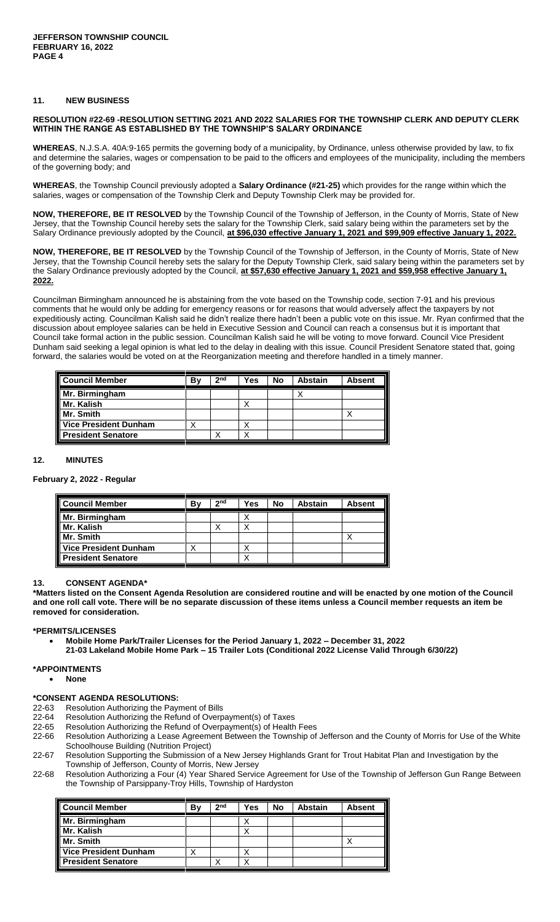## **11. NEW BUSINESS**

## **RESOLUTION #22-69 -RESOLUTION SETTING 2021 AND 2022 SALARIES FOR THE TOWNSHIP CLERK AND DEPUTY CLERK WITHIN THE RANGE AS ESTABLISHED BY THE TOWNSHIP'S SALARY ORDINANCE**

**WHEREAS**, N.J.S.A. 40A:9-165 permits the governing body of a municipality, by Ordinance, unless otherwise provided by law, to fix and determine the salaries, wages or compensation to be paid to the officers and employees of the municipality, including the members of the governing body; and

**WHEREAS**, the Township Council previously adopted a **Salary Ordinance (#21-25)** which provides for the range within which the salaries, wages or compensation of the Township Clerk and Deputy Township Clerk may be provided for.

**NOW, THEREFORE, BE IT RESOLVED** by the Township Council of the Township of Jefferson, in the County of Morris, State of New Jersey, that the Township Council hereby sets the salary for the Township Clerk, said salary being within the parameters set by the Salary Ordinance previously adopted by the Council, at \$96,030 effective January 1, 2021 and \$99,909 effective January 1, 2022.

**NOW, THEREFORE, BE IT RESOLVED** by the Township Council of the Township of Jefferson, in the County of Morris, State of New Jersey, that the Township Council hereby sets the salary for the Deputy Township Clerk, said salary being within the parameters set by the Salary Ordinance previously adopted by the Council, **at \$57,630 effective January 1, 2021 and \$59,958 effective January 1, 2022.**

Councilman Birmingham announced he is abstaining from the vote based on the Township code, section 7-91 and his previous comments that he would only be adding for emergency reasons or for reasons that would adversely affect the taxpayers by not expeditiously acting. Councilman Kalish said he didn't realize there hadn't been a public vote on this issue. Mr. Ryan confirmed that the discussion about employee salaries can be held in Executive Session and Council can reach a consensus but it is important that Council take formal action in the public session. Councilman Kalish said he will be voting to move forward. Council Vice President Dunham said seeking a legal opinion is what led to the delay in dealing with this issue. Council President Senatore stated that, going forward, the salaries would be voted on at the Reorganization meeting and therefore handled in a timely manner.

| <b>Council Member</b>        | B٧ | 2 <sub>nd</sub> | Yes | No | Abstain | <b>Absent</b> |
|------------------------------|----|-----------------|-----|----|---------|---------------|
| Mr. Birmingham               |    |                 |     |    |         |               |
| Mr. Kalish                   |    |                 |     |    |         |               |
| Mr. Smith                    |    |                 |     |    |         |               |
| <b>Vice President Dunham</b> |    |                 |     |    |         |               |
| <b>President Senatore</b>    |    |                 |     |    |         |               |

## **12. MINUTES**

#### **February 2, 2022 - Regular**

| <b>Council Member</b>     | B٧ | 2 <sub>nd</sub> | Yes | No | Abstain | <b>Absent</b> |
|---------------------------|----|-----------------|-----|----|---------|---------------|
| Mr. Birmingham            |    |                 |     |    |         |               |
| Mr. Kalish                |    |                 |     |    |         |               |
| Mr. Smith                 |    |                 |     |    |         |               |
| Vice President Dunham     |    |                 |     |    |         |               |
| <b>President Senatore</b> |    |                 |     |    |         |               |

## **13. CONSENT AGENDA\***

**\*Matters listed on the Consent Agenda Resolution are considered routine and will be enacted by one motion of the Council and one roll call vote. There will be no separate discussion of these items unless a Council member requests an item be removed for consideration.**

## **\*PERMITS/LICENSES**

**Mobile Home Park/Trailer Licenses for the Period January 1, 2022 – December 31, 2022**

**21-03 Lakeland Mobile Home Park – 15 Trailer Lots (Conditional 2022 License Valid Through 6/30/22)** 

#### **\*APPOINTMENTS**

**None** 

## **\*CONSENT AGENDA RESOLUTIONS:**

- 22-63 Resolution Authorizing the Payment of Bills
- 22-64 Resolution Authorizing the Refund of Overpayment(s) of Taxes
- 22-65 Resolution Authorizing the Refund of Overpayment(s) of Health Fees
- 22-66 Resolution Authorizing a Lease Agreement Between the Township of Jefferson and the County of Morris for Use of the White Schoolhouse Building (Nutrition Project)
- 22-67 Resolution Supporting the Submission of a New Jersey Highlands Grant for Trout Habitat Plan and Investigation by the Township of Jefferson, County of Morris, New Jersey
- 22-68 Resolution Authorizing a Four (4) Year Shared Service Agreement for Use of the Township of Jefferson Gun Range Between the Township of Parsippany-Troy Hills, Township of Hardyston

| <b>Council Member</b>        | В١ | 2 <sub>nd</sub> | Yes | No | <b>Abstain</b> | <b>Absent</b> |
|------------------------------|----|-----------------|-----|----|----------------|---------------|
| Mr. Birmingham               |    |                 |     |    |                |               |
| Mr. Kalish                   |    |                 |     |    |                |               |
| Mr. Smith                    |    |                 |     |    |                |               |
| <b>Vice President Dunham</b> |    |                 |     |    |                |               |
| <b>President Senatore</b>    |    |                 |     |    |                |               |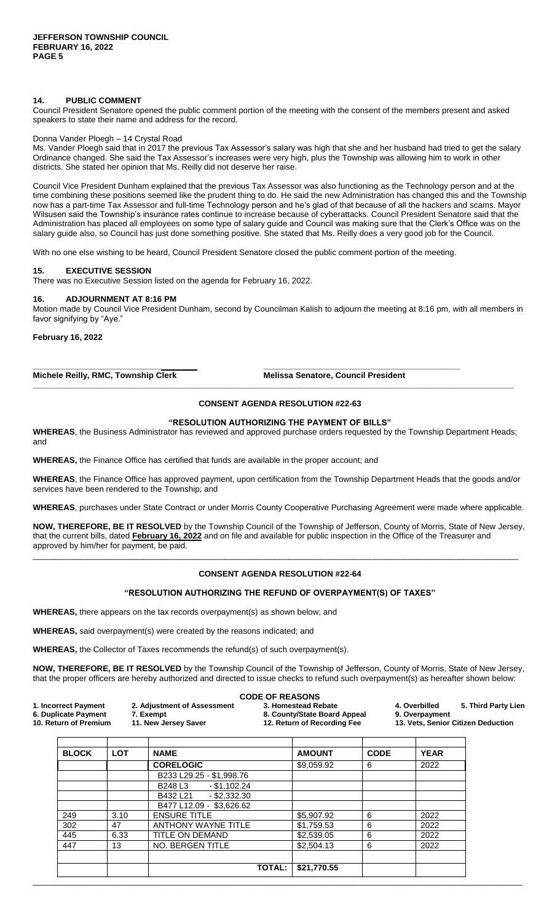## **14. PUBLIC COMMENT**

Council President Senatore opened the public comment portion of the meeting with the consent of the members present and asked speakers to state their name and address for the record.

#### Donna Vander Ploegh – 14 Crystal Road

Ms. Vander Ploegh said that in 2017 the previous Tax Assessor's salary was high that she and her husband had tried to get the salary Ordinance changed. She said the Tax Assessor's increases were very high, plus the Township was allowing him to work in other districts. She stated her opinion that Ms. Reilly did not deserve her raise.

Council Vice President Dunham explained that the previous Tax Assessor was also functioning as the Technology person and at the time combining these positions seemed like the prudent thing to do. He said the new Administration has changed this and the Township now has a part-time Tax Assessor and full-time Technology person and he's glad of that because of all the hackers and scams. Mayor Wilsusen said the Township's insurance rates continue to increase because of cyberattacks. Council President Senatore said that the Administration has placed all employees on some type of salary guide and Council was making sure that the Clerk's Office was on the salary guide also, so Council has just done something positive. She stated that Ms. Reilly does a very good job for the Council.

With no one else wishing to be heard, Council President Senatore closed the public comment portion of the meeting.

**\_\_\_\_\_\_\_\_\_\_\_\_\_\_\_\_\_\_\_\_\_\_\_\_\_\_\_\_ \_\_\_\_\_\_\_\_\_\_\_\_\_\_\_\_\_\_\_\_\_\_\_\_\_\_\_\_\_\_\_\_\_\_\_\_\_\_\_\_\_\_\_**

#### **15. EXECUTIVE SESSION**

There was no Executive Session listed on the agenda for February 16, 2022.

#### **16. ADJOURNMENT AT 8:16 PM**

Motion made by Council Vice President Dunham, second by Councilman Kalish to adjourn the meeting at 8:16 pm, with all members in favor signifying by "Aye."

**February 16, 2022**

**Michele Reilly, RMC, Township Clerk Melissa Senatore, Council President** 

# **CONSENT AGENDA RESOLUTION #22-63**

**\_\_\_\_\_\_\_\_\_\_\_\_\_\_\_\_\_\_\_\_\_\_\_\_\_\_\_\_\_\_\_\_\_\_\_\_\_\_\_\_\_\_\_\_\_\_\_\_\_\_\_\_\_\_\_\_\_\_\_\_\_\_\_\_\_\_\_\_\_\_\_\_\_\_\_\_\_\_\_\_\_\_\_\_\_\_\_\_\_\_\_\_\_\_\_\_\_\_\_\_\_\_\_\_\_**

#### **"RESOLUTION AUTHORIZING THE PAYMENT OF BILLS"**

**WHEREAS**, the Business Administrator has reviewed and approved purchase orders requested by the Township Department Heads; and

**WHEREAS,** the Finance Office has certified that funds are available in the proper account; and

**WHEREAS**, the Finance Office has approved payment, upon certification from the Township Department Heads that the goods and/or services have been rendered to the Township; and

**WHEREAS**, purchases under State Contract or under Morris County Cooperative Purchasing Agreement were made where applicable.

**NOW, THEREFORE, BE IT RESOLVED** by the Township Council of the Township of Jefferson, County of Morris, State of New Jersey, that the current bills, dated **February 16, 2022** and on file and available for public inspection in the Office of the Treasurer and approved by him/her for payment, be paid.

#### **CONSENT AGENDA RESOLUTION #22-64**

\_\_\_\_\_\_\_\_\_\_\_\_\_\_\_\_\_\_\_\_\_\_\_\_\_\_\_\_\_\_\_\_\_\_\_\_\_\_\_\_\_\_\_\_\_\_\_\_\_\_\_\_\_\_\_\_\_\_\_\_\_\_\_\_\_\_\_\_\_\_\_\_\_\_\_\_\_\_\_\_\_\_\_\_\_\_\_\_\_\_\_\_\_\_\_\_\_\_\_\_\_\_\_\_\_\_

#### **"RESOLUTION AUTHORIZING THE REFUND OF OVERPAYMENT(S) OF TAXES"**

**WHEREAS,** there appears on the tax records overpayment(s) as shown below; and

**WHEREAS,** said overpayment(s) were created by the reasons indicated; and

**WHEREAS,** the Collector of Taxes recommends the refund(s) of such overpayment(s).

**NOW, THEREFORE, BE IT RESOLVED** by the Township Council of the Township of Jefferson, County of Morris, State of New Jersey, that the proper officers are hereby authorized and directed to issue checks to refund such overpayment(s) as hereafter shown below:

|                                               |                                   | <b>CODE OF REASONS</b>                                      |                                                      |
|-----------------------------------------------|-----------------------------------|-------------------------------------------------------------|------------------------------------------------------|
| 1. Incorrect Payment                          | 2. Adjustment of Assessment       | 3. Homestead Rebate                                         | 5. Third Party Lien<br>4. Overbilled                 |
| 6. Duplicate Payment<br>10. Return of Premium | 7. Exempt<br>11. New Jersey Saver | 8. County/State Board Appeal<br>12. Return of Recording Fee | 9. Overpayment<br>13. Vets, Senior Citizen Deduction |
|                                               |                                   |                                                             |                                                      |

| <b>BLOCK</b> | <b>LOT</b> | <b>NAME</b>                | <b>AMOUNT</b> | <b>CODE</b> | <b>YEAR</b> |
|--------------|------------|----------------------------|---------------|-------------|-------------|
|              |            | <b>CORELOGIC</b>           | \$9,059.92    | 6           | 2022        |
|              |            | B233 L29.25 - \$1,998.76   |               |             |             |
|              |            | $-$ \$1,102.24<br>B248 L3  |               |             |             |
|              |            | $-$ \$2,332.30<br>B432 L21 |               |             |             |
|              |            | B477 L12.09 - \$3.626.62   |               |             |             |
| 249          | 3.10       | <b>ENSURE TITLE</b>        | \$5,907.92    | 6           | 2022        |
| 302          | 47         | <b>ANTHONY WAYNE TITLE</b> | \$1,759.53    | 6           | 2022        |
| 445          | 6.33       | TITLE ON DEMAND            | \$2,539.05    | 6           | 2022        |
| 447          | 13         | NO. BERGEN TITLE           | \$2,504.13    | 6           | 2022        |
|              |            |                            |               |             |             |
|              |            | <b>TOTAL:</b>              | \$21,770.55   |             |             |

\_\_\_\_\_\_\_\_\_\_\_\_\_\_\_\_\_\_\_\_\_\_\_\_\_\_\_\_\_\_\_\_\_\_\_\_\_\_\_\_\_\_\_\_\_\_\_\_\_\_\_\_\_\_\_\_\_\_\_\_\_\_\_\_\_\_\_\_\_\_\_\_\_\_\_\_\_\_\_\_\_\_\_\_\_\_\_\_\_\_\_\_\_\_\_\_\_\_\_\_\_\_\_\_\_\_\_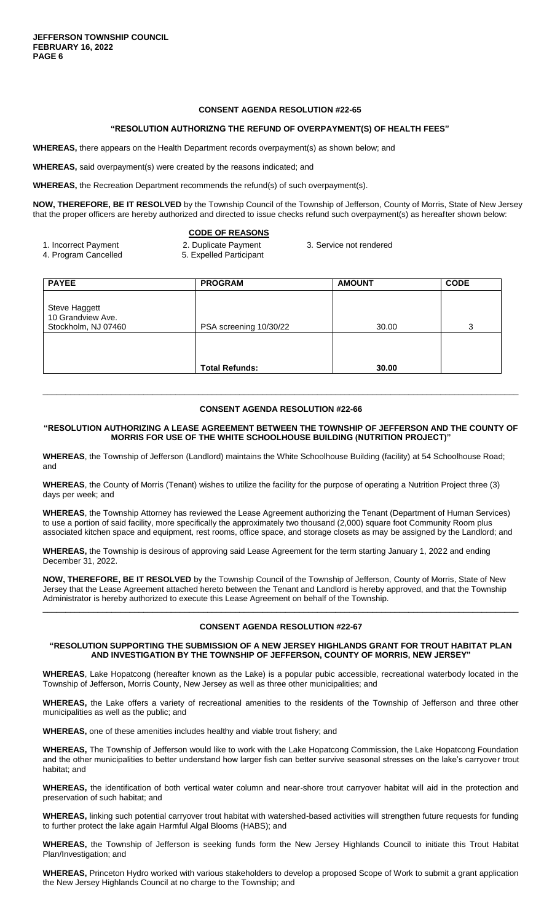#### **CONSENT AGENDA RESOLUTION #22-65**

#### **"RESOLUTION AUTHORIZNG THE REFUND OF OVERPAYMENT(S) OF HEALTH FEES"**

**WHEREAS,** there appears on the Health Department records overpayment(s) as shown below; and

**WHEREAS,** said overpayment(s) were created by the reasons indicated; and

**WHEREAS,** the Recreation Department recommends the refund(s) of such overpayment(s).

**NOW, THEREFORE, BE IT RESOLVED** by the Township Council of the Township of Jefferson, County of Morris, State of New Jersey that the proper officers are hereby authorized and directed to issue checks refund such overpayment(s) as hereafter shown below:

# **CODE OF REASONS**

- 1. Incorrect Payment 2. Duplicate Payment 3. Service not rendered<br>4. Program Cancelled 5. Expelled Participant
- 5. Expelled Participant

| <b>PAYEE</b>                                              | <b>PROGRAM</b>         | <b>AMOUNT</b> | <b>CODE</b> |
|-----------------------------------------------------------|------------------------|---------------|-------------|
| Steve Haggett<br>10 Grandview Ave.<br>Stockholm, NJ 07460 | PSA screening 10/30/22 | 30.00         | 3           |
|                                                           | <b>Total Refunds:</b>  | 30.00         |             |
|                                                           |                        |               |             |

#### **CONSENT AGENDA RESOLUTION #22-66**

\_\_\_\_\_\_\_\_\_\_\_\_\_\_\_\_\_\_\_\_\_\_\_\_\_\_\_\_\_\_\_\_\_\_\_\_\_\_\_\_\_\_\_\_\_\_\_\_\_\_\_\_\_\_\_\_\_\_\_\_\_\_\_\_\_\_\_\_\_\_\_\_\_\_\_\_\_\_\_\_\_\_\_\_\_\_\_\_\_\_\_\_\_\_\_\_\_\_\_\_\_\_\_\_

#### **"RESOLUTION AUTHORIZING A LEASE AGREEMENT BETWEEN THE TOWNSHIP OF JEFFERSON AND THE COUNTY OF MORRIS FOR USE OF THE WHITE SCHOOLHOUSE BUILDING (NUTRITION PROJECT)"**

**WHEREAS**, the Township of Jefferson (Landlord) maintains the White Schoolhouse Building (facility) at 54 Schoolhouse Road; and

**WHEREAS**, the County of Morris (Tenant) wishes to utilize the facility for the purpose of operating a Nutrition Project three (3) days per week; and

**WHEREAS**, the Township Attorney has reviewed the Lease Agreement authorizing the Tenant (Department of Human Services) to use a portion of said facility, more specifically the approximately two thousand (2,000) square foot Community Room plus associated kitchen space and equipment, rest rooms, office space, and storage closets as may be assigned by the Landlord; and

**WHEREAS,** the Township is desirous of approving said Lease Agreement for the term starting January 1, 2022 and ending December 31, 2022.

**NOW, THEREFORE, BE IT RESOLVED** by the Township Council of the Township of Jefferson, County of Morris, State of New Jersey that the Lease Agreement attached hereto between the Tenant and Landlord is hereby approved, and that the Township Administrator is hereby authorized to execute this Lease Agreement on behalf of the Township.

# \_\_\_\_\_\_\_\_\_\_\_\_\_\_\_\_\_\_\_\_\_\_\_\_\_\_\_\_\_\_\_\_\_\_\_\_\_\_\_\_\_\_\_\_\_\_\_\_\_\_\_\_\_\_\_\_\_\_\_\_\_\_\_\_\_\_\_\_\_\_\_\_\_\_\_\_\_\_\_\_\_\_\_\_\_\_\_\_\_\_\_\_\_\_\_\_\_\_\_\_\_\_\_\_ **CONSENT AGENDA RESOLUTION #22-67**

#### **"RESOLUTION SUPPORTING THE SUBMISSION OF A NEW JERSEY HIGHLANDS GRANT FOR TROUT HABITAT PLAN AND INVESTIGATION BY THE TOWNSHIP OF JEFFERSON, COUNTY OF MORRIS, NEW JERSEY"**

**WHEREAS**, Lake Hopatcong (hereafter known as the Lake) is a popular pubic accessible, recreational waterbody located in the Township of Jefferson, Morris County, New Jersey as well as three other municipalities; and

**WHEREAS,** the Lake offers a variety of recreational amenities to the residents of the Township of Jefferson and three other municipalities as well as the public; and

**WHEREAS,** one of these amenities includes healthy and viable trout fishery; and

**WHEREAS,** The Township of Jefferson would like to work with the Lake Hopatcong Commission, the Lake Hopatcong Foundation and the other municipalities to better understand how larger fish can better survive seasonal stresses on the lake's carryover trout habitat; and

**WHEREAS,** the identification of both vertical water column and near-shore trout carryover habitat will aid in the protection and preservation of such habitat; and

**WHEREAS,** linking such potential carryover trout habitat with watershed-based activities will strengthen future requests for funding to further protect the lake again Harmful Algal Blooms (HABS); and

**WHEREAS,** the Township of Jefferson is seeking funds form the New Jersey Highlands Council to initiate this Trout Habitat Plan/Investigation; and

**WHEREAS,** Princeton Hydro worked with various stakeholders to develop a proposed Scope of Work to submit a grant application the New Jersey Highlands Council at no charge to the Township; and